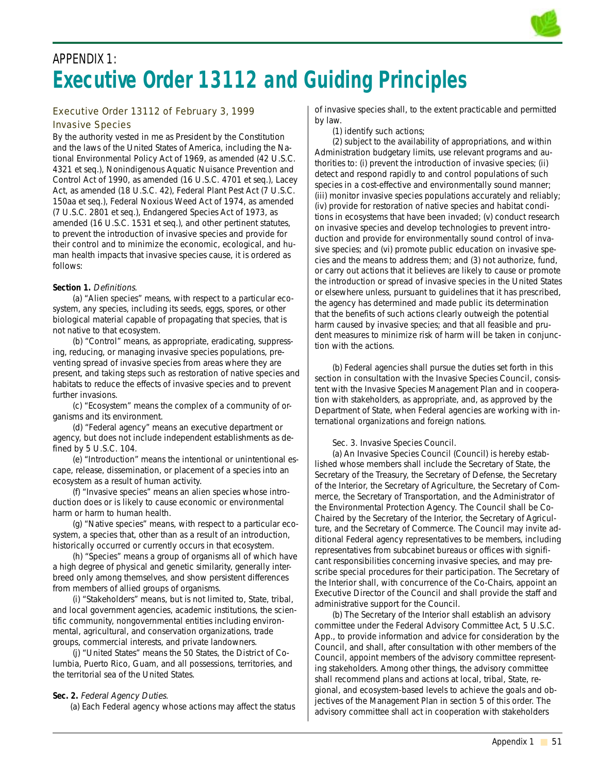

# APPENDIX 1: **Executive Order 13112 and Guiding Principles**

## Executive Order 13112 of February 3, 1999

### Invasive Species

By the authority vested in me as President by the Constitution and the laws of the United States of America, including the National Environmental Policy Act of 1969, as amended (42 U.S.C. 4321 et seq.), Nonindigenous Aquatic Nuisance Prevention and Control Act of 1990, as amended (16 U.S.C. 4701 et seq.), Lacey Act, as amended (18 U.S.C. 42), Federal Plant Pest Act (7 U.S.C. 150aa et seq.), Federal Noxious Weed Act of 1974, as amended (7 U.S.C. 2801 et seq.), Endangered Species Act of 1973, as amended (16 U.S.C. 1531 et seq.), and other pertinent statutes, to prevent the introduction of invasive species and provide for their control and to minimize the economic, ecological, and human health impacts that invasive species cause, it is ordered as follows:

#### **Section 1.** Definitions.

 (a) "Alien species" means, with respect to a particular ecosystem, any species, including its seeds, eggs, spores, or other biological material capable of propagating that species, that is not native to that ecosystem.

 (b) "Control" means, as appropriate, eradicating, suppressing, reducing, or managing invasive species populations, preventing spread of invasive species from areas where they are present, and taking steps such as restoration of native species and habitats to reduce the effects of invasive species and to prevent further invasions.

 (c) "Ecosystem" means the complex of a community of organisms and its environment.

 (d) "Federal agency" means an executive department or agency, but does not include independent establishments as defined by 5 U.S.C. 104.

 (e) "Introduction" means the intentional or unintentional escape, release, dissemination, or placement of a species into an ecosystem as a result of human activity.

 (f) "Invasive species" means an alien species whose introduction does or is likely to cause economic or environmental harm or harm to human health.

 (g) "Native species" means, with respect to a particular ecosystem, a species that, other than as a result of an introduction, historically occurred or currently occurs in that ecosystem.

 (h) "Species" means a group of organisms all of which have a high degree of physical and genetic similarity, generally interbreed only among themselves, and show persistent differences from members of allied groups of organisms.

 (i) "Stakeholders" means, but is not limited to, State, tribal, and local government agencies, academic institutions, the scientific community, nongovernmental entities including environmental, agricultural, and conservation organizations, trade groups, commercial interests, and private landowners.

 (j) "United States" means the 50 States, the District of Columbia, Puerto Rico, Guam, and all possessions, territories, and the territorial sea of the United States.

#### **Sec. 2.** Federal Agency Duties.

(a) Each Federal agency whose actions may affect the status

of invasive species shall, to the extent practicable and permitted by law.

(1) identify such actions;

(2) subject to the availability of appropriations, and within Administration budgetary limits, use relevant programs and authorities to: (i) prevent the introduction of invasive species; (ii) detect and respond rapidly to and control populations of such species in a cost-effective and environmentally sound manner; (iii) monitor invasive species populations accurately and reliably; (iv) provide for restoration of native species and habitat conditions in ecosystems that have been invaded; (v) conduct research on invasive species and develop technologies to prevent introduction and provide for environmentally sound control of invasive species; and (vi) promote public education on invasive species and the means to address them; and (3) not authorize, fund, or carry out actions that it believes are likely to cause or promote the introduction or spread of invasive species in the United States or elsewhere unless, pursuant to guidelines that it has prescribed, the agency has determined and made public its determination that the benefits of such actions clearly outweigh the potential harm caused by invasive species; and that all feasible and prudent measures to minimize risk of harm will be taken in conjunction with the actions.

(b) Federal agencies shall pursue the duties set forth in this section in consultation with the Invasive Species Council, consistent with the Invasive Species Management Plan and in cooperation with stakeholders, as appropriate, and, as approved by the Department of State, when Federal agencies are working with international organizations and foreign nations.

#### Sec. 3. Invasive Species Council.

(a) An Invasive Species Council (Council) is hereby established whose members shall include the Secretary of State, the Secretary of the Treasury, the Secretary of Defense, the Secretary of the Interior, the Secretary of Agriculture, the Secretary of Commerce, the Secretary of Transportation, and the Administrator of the Environmental Protection Agency. The Council shall be Co-Chaired by the Secretary of the Interior, the Secretary of Agriculture, and the Secretary of Commerce. The Council may invite additional Federal agency representatives to be members, including representatives from subcabinet bureaus or offices with significant responsibilities concerning invasive species, and may prescribe special procedures for their participation. The Secretary of the Interior shall, with concurrence of the Co-Chairs, appoint an Executive Director of the Council and shall provide the staff and administrative support for the Council.

(b) The Secretary of the Interior shall establish an advisory committee under the Federal Advisory Committee Act, 5 U.S.C. App., to provide information and advice for consideration by the Council, and shall, after consultation with other members of the Council, appoint members of the advisory committee representing stakeholders. Among other things, the advisory committee shall recommend plans and actions at local, tribal, State, regional, and ecosystem-based levels to achieve the goals and objectives of the Management Plan in section 5 of this order. The advisory committee shall act in cooperation with stakeholders